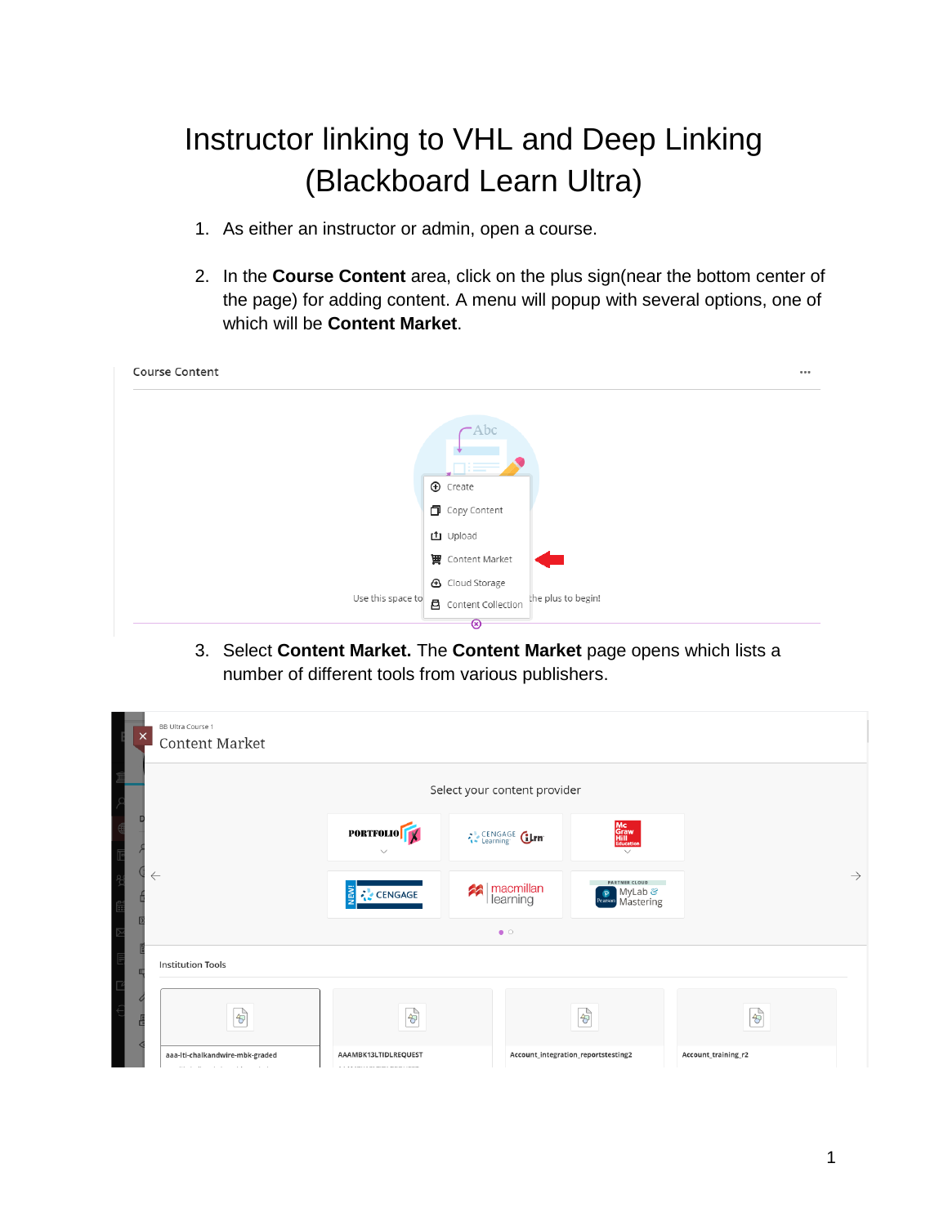# Instructor linking to VHL and Deep Linking (Blackboard Learn Ultra)

- 1. As either an instructor or admin, open a course.
- 2. In the **Course Content** area, click on the plus sign(near the bottom center of the page) for adding content. A menu will popup with several options, one of which will be **Content Market**.

| <b>Course Content</b> |                                                   |
|-----------------------|---------------------------------------------------|
|                       | $\rightarrow$ Abc                                 |
|                       | $=$<br>$\bigoplus$ Create                         |
|                       | 门 Copy Content                                    |
|                       | <b>□</b> Upload                                   |
|                       | <b>曹</b> Content Market                           |
|                       | <b>4</b> Cloud Storage                            |
| Use this space to     | the plus to begin!<br><b>凸</b> Content Collection |
|                       | ඔ                                                 |

3. Select **Content Market.** The **Content Market** page opens which lists a number of different tools from various publishers.

| $\times$<br><b>Content Market</b>                                                     |                                                                        |                               |                                                     |                      |               |
|---------------------------------------------------------------------------------------|------------------------------------------------------------------------|-------------------------------|-----------------------------------------------------|----------------------|---------------|
|                                                                                       |                                                                        | Select your content provider  |                                                     |                      |               |
|                                                                                       | <b>PORTFOLIO</b>                                                       | CENGAGE Girn                  | Mc<br>Graw<br>Hill<br>Education<br>$\checkmark$     |                      |               |
| $\leftarrow$                                                                          | <b>S</b><br><b>CENGAGE</b>                                             | macmillan<br>  learning<br>2A | <b>PARTNER CLOUD</b><br>P MyLab & Pearson Mastering |                      | $\rightarrow$ |
|                                                                                       |                                                                        | $\bullet$ $\circ$             |                                                     |                      |               |
| <b>Institution Tools</b>                                                              |                                                                        |                               |                                                     |                      |               |
| $\frac{1}{2}$                                                                         | $\frac{1}{2}$                                                          |                               | $\frac{1}{2}$                                       | $\frac{1}{\sqrt{2}}$ |               |
| aaa-Iti-chalkandwire-mbk-graded<br><b>Contractor</b><br>and the con-<br>$\sim$ $\sim$ | AAAMBK13LTIDLREQUEST<br><b>A R.A. LEWIS CO., MICH. LANSING COMPANY</b> |                               | Account_integration_reportstesting2                 | Account_training_r2  |               |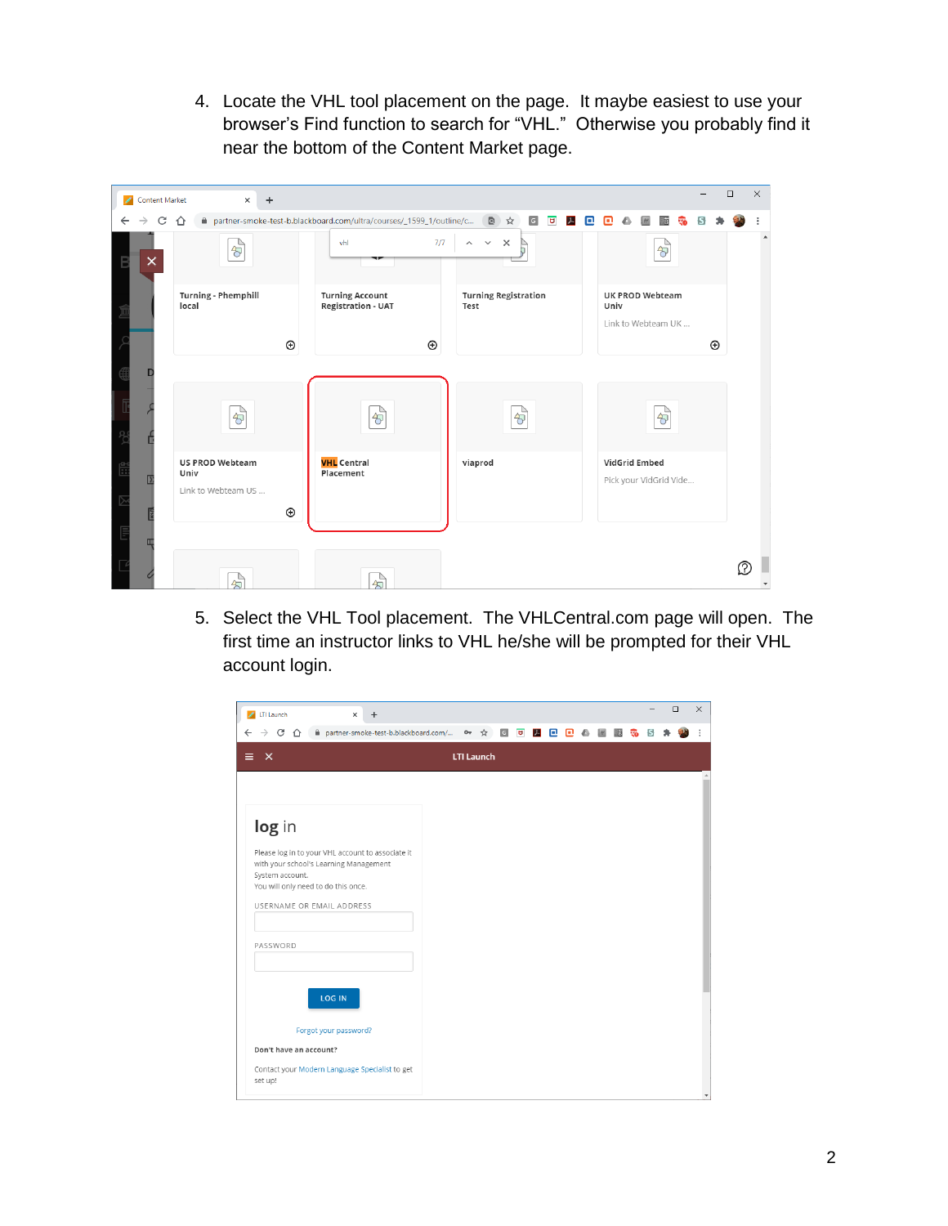4. Locate the VHL tool placement on the page. It maybe easiest to use your browser's Find function to search for "VHL." Otherwise you probably find it near the bottom of the Content Market page.

| Content Market | $\times$                       | $\ddot{}$    |                                                                       |                                                                     |                                                      | $\Box$      | $\times$ |
|----------------|--------------------------------|--------------|-----------------------------------------------------------------------|---------------------------------------------------------------------|------------------------------------------------------|-------------|----------|
| C<br>←         | ⇑                              |              | A partner-smoke-test-b.blackboard.com/ultra/courses/_1599_1/outline/c | 图☆<br>$\mathsf G$<br>$\overline{\mathbf{u}}$<br>$\overline{J}$<br>o | n<br>E                                               |             |          |
| ×              | $\frac{1}{\sqrt{2}}$           |              | vhl<br>7/7                                                            | $\mathbb{R}^{\times}$<br>$\checkmark$<br>$\wedge$                   | $\frac{1}{\sqrt{2}}$                                 |             |          |
|                | Turning - Phemphill<br>local   |              | <b>Turning Account</b><br><b>Registration - UAT</b>                   | <b>Turning Registration</b><br>Test                                 | <b>UK PROD Webteam</b><br>Univ<br>Link to Webteam UK |             |          |
|                |                                | $^\circledR$ | $_{\oplus}$                                                           |                                                                     |                                                      | $_{\oplus}$ |          |
|                |                                |              |                                                                       |                                                                     |                                                      |             |          |
|                | $\frac{1}{\sqrt{2}}$           |              | $\frac{1}{\sqrt{2}}$                                                  | $\frac{1}{\sqrt{2}}$                                                | $\frac{1}{\sqrt{2}}$                                 |             |          |
|                | <b>US PROD Webteam</b><br>Univ |              | <b>VHL</b> Central<br>Placement                                       | viaprod                                                             | VidGrid Embed                                        |             |          |
| D              | Link to Webteam US             |              |                                                                       |                                                                     | Pick your VidGrid Vide                               |             |          |
|                |                                | $\odot$      |                                                                       |                                                                     |                                                      |             |          |
| ш              |                                |              |                                                                       |                                                                     |                                                      |             |          |
|                | $\overrightarrow{r}$           |              | $\overrightarrow{r}$                                                  |                                                                     |                                                      |             | Ω        |

5. Select the VHL Tool placement. The VHLCentral.com page will open. The first time an instructor links to VHL he/she will be prompted for their VHL account login.

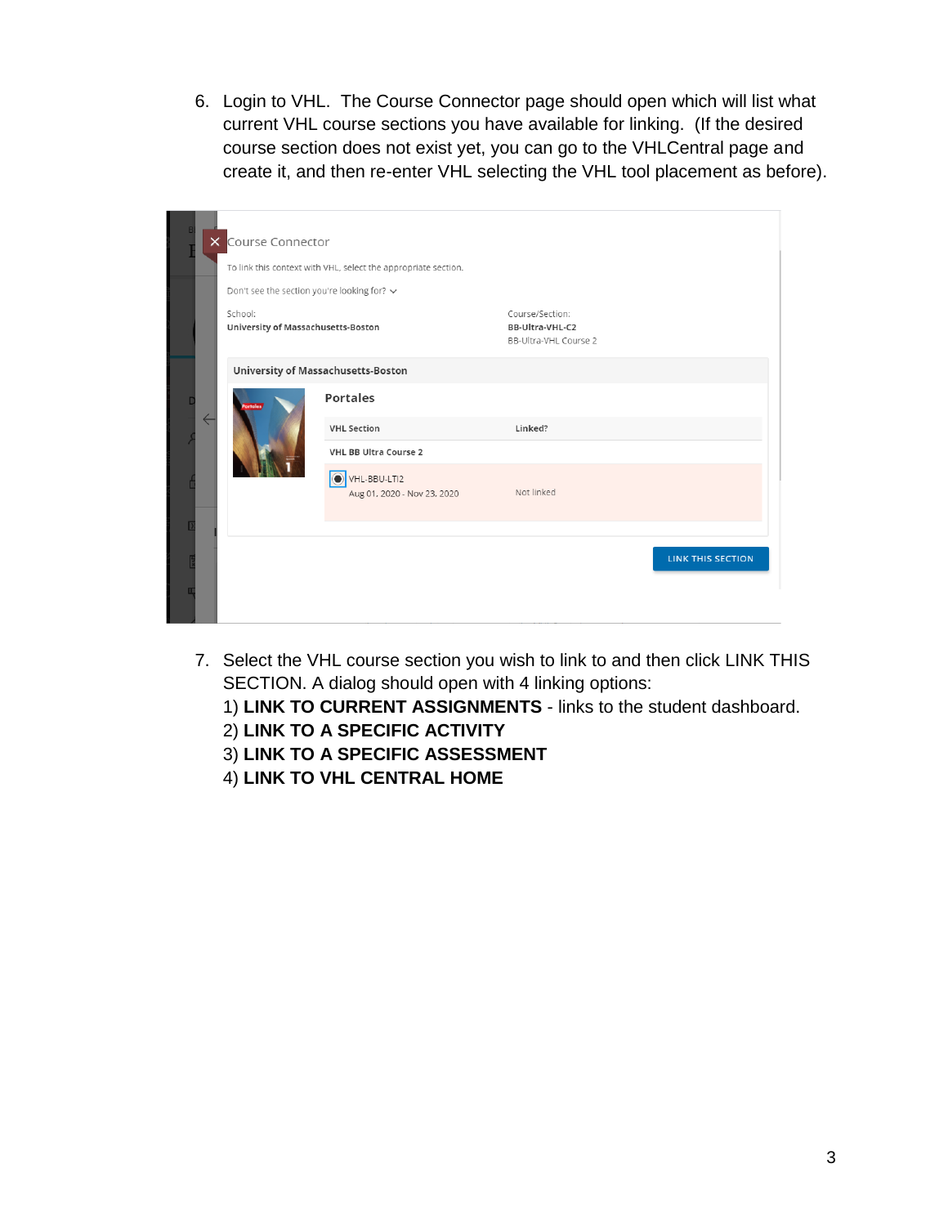6. Login to VHL. The Course Connector page should open which will list what current VHL course sections you have available for linking. (If the desired course section does not exist yet, you can go to the VHLCentral page and create it, and then re-enter VHL selecting the VHL tool placement as before).

| $\times$     | Course Connector<br>Don't see the section you're looking for? $\sim$ | To link this context with VHL, select the appropriate section. |                                                             |                          |
|--------------|----------------------------------------------------------------------|----------------------------------------------------------------|-------------------------------------------------------------|--------------------------|
|              | School:<br>University of Massachusetts-Boston                        |                                                                | Course/Section:<br>BB-Ultra-VHL-C2<br>BB-Ultra-VHL Course 2 |                          |
|              |                                                                      | University of Massachusetts-Boston                             |                                                             |                          |
| $\leftarrow$ |                                                                      | <b>Portales</b>                                                |                                                             |                          |
|              |                                                                      | <b>VHL Section</b>                                             | Linked?                                                     |                          |
|              |                                                                      | <b>VHL BB Ultra Course 2</b>                                   |                                                             |                          |
|              |                                                                      | VHL-BBU-LTI2<br>Aug 01, 2020 - Nov 23, 2020                    | Not linked                                                  |                          |
|              |                                                                      |                                                                |                                                             |                          |
|              |                                                                      |                                                                |                                                             | <b>LINK THIS SECTION</b> |
|              |                                                                      |                                                                |                                                             |                          |

7. Select the VHL course section you wish to link to and then click LINK THIS SECTION. A dialog should open with 4 linking options:

1) **LINK TO CURRENT ASSIGNMENTS** - links to the student dashboard.

- 2) **LINK TO A SPECIFIC ACTIVITY**
- 3) **LINK TO A SPECIFIC ASSESSMENT**
- 4) **LINK TO VHL CENTRAL HOME**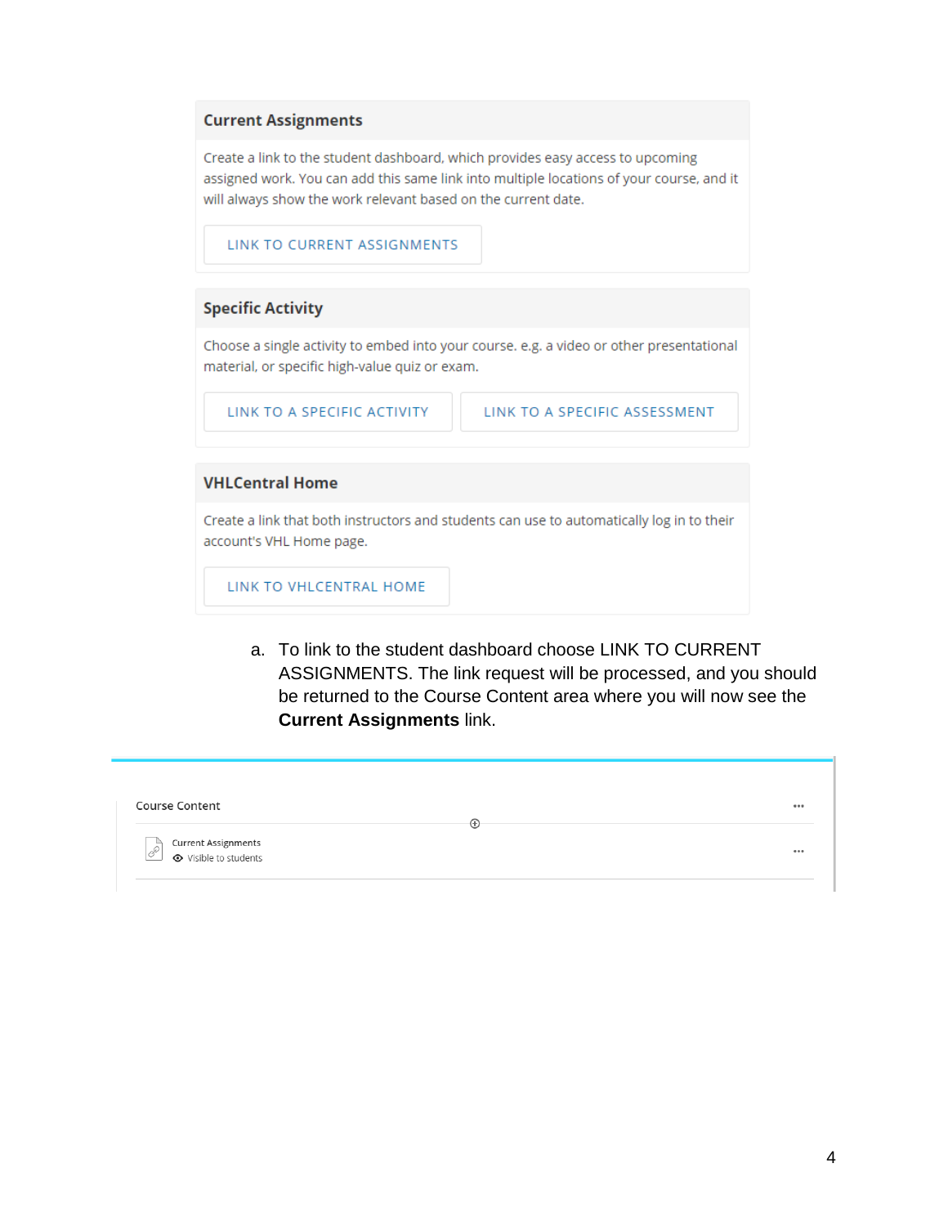#### **Current Assignments**

Create a link to the student dashboard, which provides easy access to upcoming assigned work. You can add this same link into multiple locations of your course, and it will always show the work relevant based on the current date.

LINK TO CURRENT ASSIGNMENTS

### **Specific Activity**

Choose a single activity to embed into your course. e.g. a video or other presentational material, or specific high-value quiz or exam.

LINK TO A SPECIFIC ACTIVITY

LINK TO A SPECIFIC ASSESSMENT

#### **VHLCentral Home**

Create a link that both instructors and students can use to automatically log in to their account's VHL Home page.

LINK TO VHLCENTRAL HOME

a. To link to the student dashboard choose LINK TO CURRENT ASSIGNMENTS. The link request will be processed, and you should be returned to the Course Content area where you will now see the **Current Assignments** link.

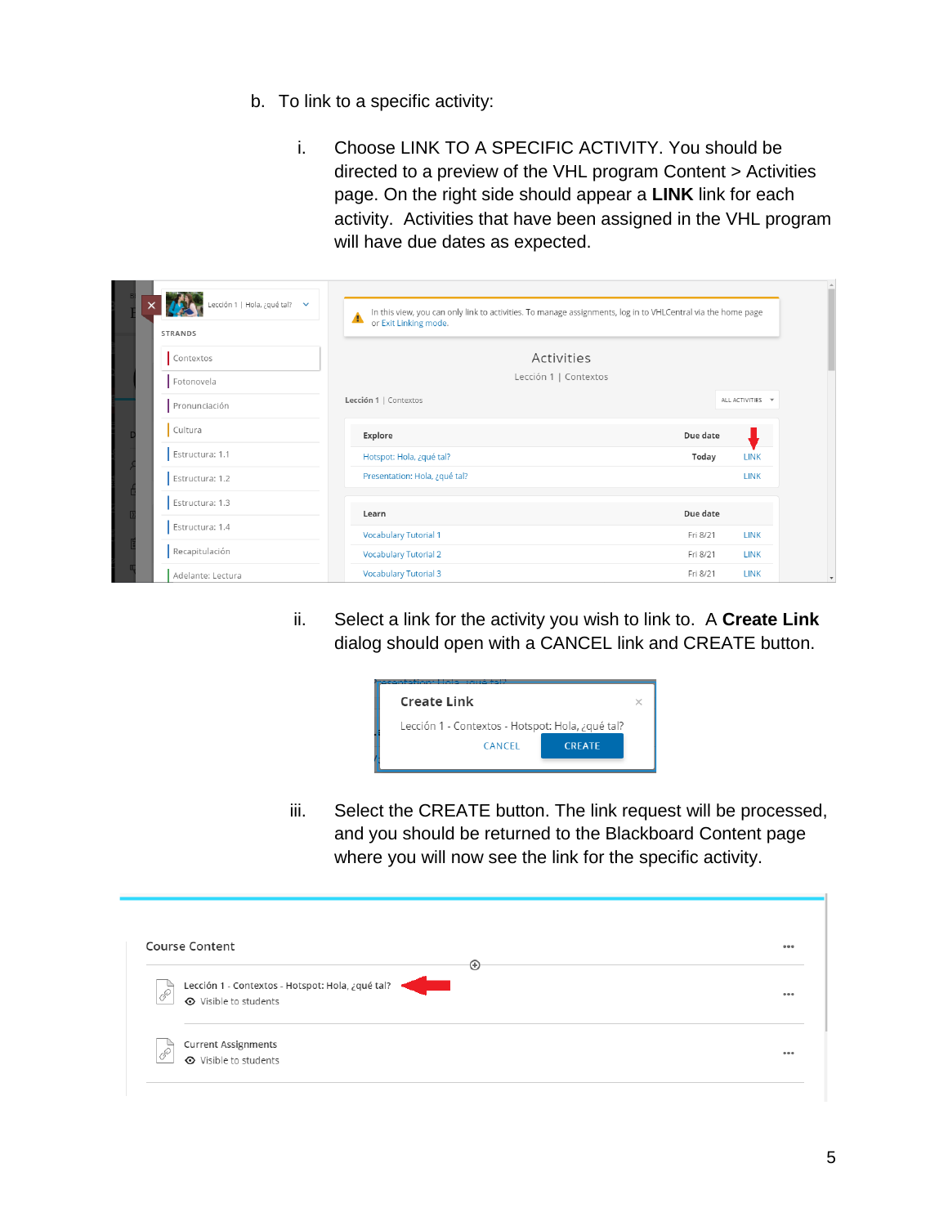- b. To link to a specific activity:
	- i. Choose LINK TO A SPECIFIC ACTIVITY. You should be directed to a preview of the VHL program Content > Activities page. On the right side should appear a **LINK** link for each activity. Activities that have been assigned in the VHL program will have due dates as expected.

| Lección 1   Hola, ¿qué tal? $\vee$<br><b>STRANDS</b> | In this view, you can only link to activities. To manage assignments, log in to VHLCentral via the home page<br>▲<br>or Exit Linking mode. |          |                  |
|------------------------------------------------------|--------------------------------------------------------------------------------------------------------------------------------------------|----------|------------------|
| Contextos                                            | Activities                                                                                                                                 |          |                  |
| Fotonovela                                           | Lección 1   Contextos                                                                                                                      |          |                  |
| Pronunciación                                        | Lección 1   Contextos                                                                                                                      |          | ALL ACTIVITIES ~ |
| Cultura                                              | Explore                                                                                                                                    | Due date |                  |
| Estructura: 1.1                                      | Hotspot: Hola, ¿qué tal?                                                                                                                   | Today    | <b>LINK</b>      |
| Estructura: 1.2                                      | Presentation: Hola, ¿qué tal?                                                                                                              |          | <b>LINK</b>      |
| Estructura: 1.3                                      | Learn                                                                                                                                      | Due date |                  |
| Estructura: 1.4                                      | <b>Vocabulary Tutorial 1</b>                                                                                                               | Fri 8/21 | <b>LINK</b>      |
| Recapitulación                                       | <b>Vocabulary Tutorial 2</b>                                                                                                               | Fri 8/21 | <b>LINK</b>      |
| Adelante: Lectura                                    | <b>Vocabulary Tutorial 3</b>                                                                                                               | Fri 8/21 | <b>LINK</b>      |

ii. Select a link for the activity you wish to link to. A **Create Link** dialog should open with a CANCEL link and CREATE button.

| <b>Create Link</b>                               |  |  |
|--------------------------------------------------|--|--|
| Lección 1 - Contextos - Hotspot: Hola, ¿qué tal? |  |  |
| <b>CREATE</b><br>CANCEL                          |  |  |
|                                                  |  |  |

iii. Select the CREATE button. The link request will be processed, and you should be returned to the Blackboard Content page where you will now see the link for the specific activity.

|   | <b>Course Content</b><br>⊕                                                | 0.0.0 |
|---|---------------------------------------------------------------------------|-------|
| Î | Lección 1 - Contextos - Hotspot: Hola, ¿qué tal?<br>← Visible to students | 000   |
|   |                                                                           |       |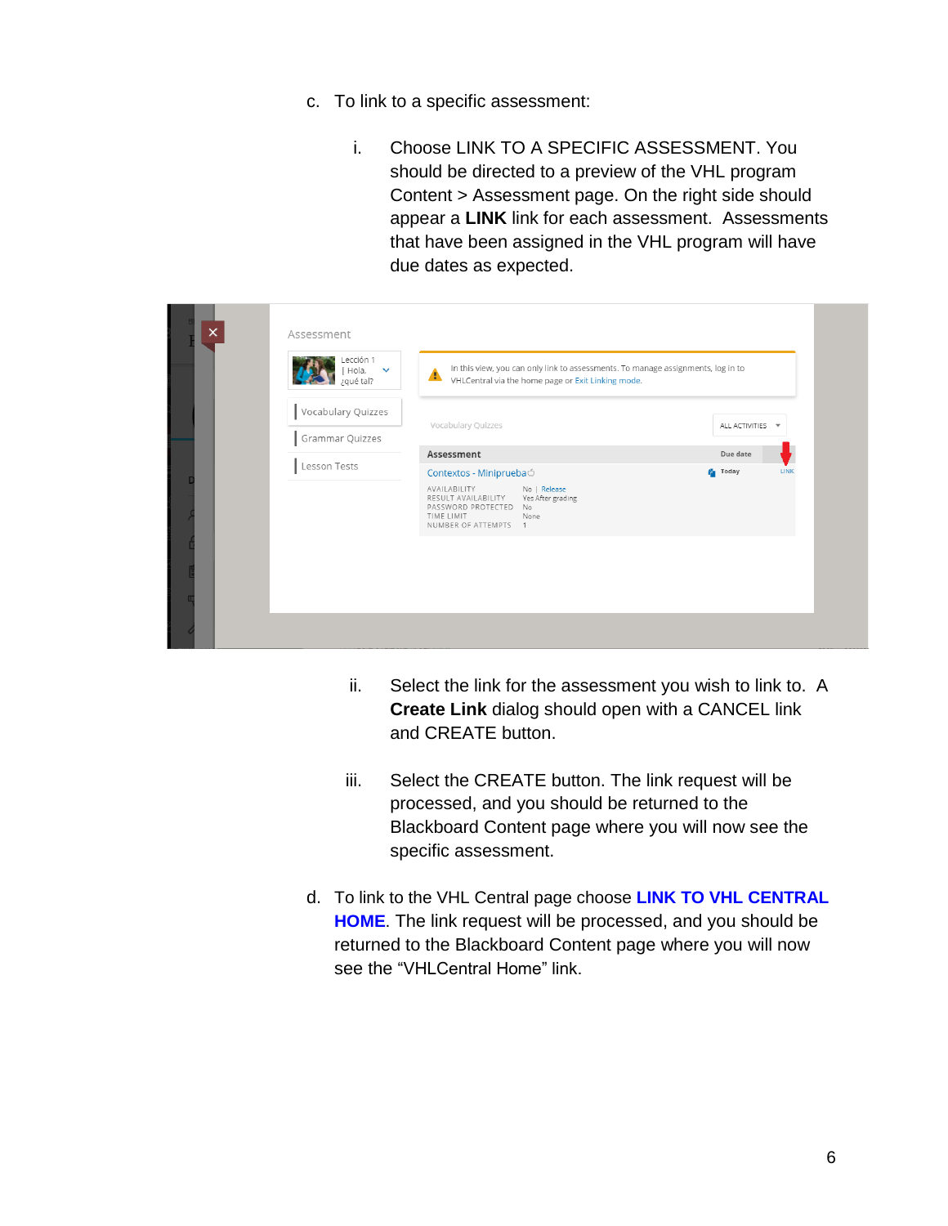- c. To link to a specific assessment:
	- i. Choose LINK TO A SPECIFIC ASSESSMENT. You should be directed to a preview of the VHL program Content > Assessment page. On the right side should appear a **LINK** link for each assessment. Assessments that have been assigned in the VHL program will have due dates as expected.

| $\times$ | Assessment                            |                                                                                                 |                                                                                                                                        |                  |      |
|----------|---------------------------------------|-------------------------------------------------------------------------------------------------|----------------------------------------------------------------------------------------------------------------------------------------|------------------|------|
|          | Lección 1<br>Hola,<br>¿qué tal?       | ▲                                                                                               | In this view, you can only link to assessments. To manage assignments, log in to<br>VHLCentral via the home page or Exit Linking mode. |                  |      |
|          | Vocabulary Quizzes<br>Grammar Quizzes | Vocabulary Quizzes                                                                              |                                                                                                                                        | ALL ACTIVITIES ~ |      |
|          |                                       | Assessment                                                                                      |                                                                                                                                        | Due date         |      |
|          | Lesson Tests                          | Contextos - MinipruebaÓ                                                                         |                                                                                                                                        | <b>Fa</b> Today  | LINK |
|          |                                       | AVAILABILITY<br>RESULT AVAILABILITY<br>PASSWORD PROTECTED<br>TIME LIMIT<br>NUMBER OF ATTEMPTS 1 | No   Release<br>Yes After grading<br>No.<br>None                                                                                       |                  |      |
|          |                                       |                                                                                                 |                                                                                                                                        |                  |      |
|          |                                       |                                                                                                 |                                                                                                                                        |                  |      |
|          |                                       |                                                                                                 |                                                                                                                                        |                  |      |
|          |                                       |                                                                                                 |                                                                                                                                        |                  |      |

- ii. Select the link for the assessment you wish to link to. A **Create Link** dialog should open with a CANCEL link and CREATE button.
- iii. Select the CREATE button. The link request will be processed, and you should be returned to the Blackboard Content page where you will now see the specific assessment.
- d. To link to the VHL Central page choose **LINK TO VHL CENTRAL HOME**. The link request will be processed, and you should be returned to the Blackboard Content page where you will now see the "VHLCentral Home" link.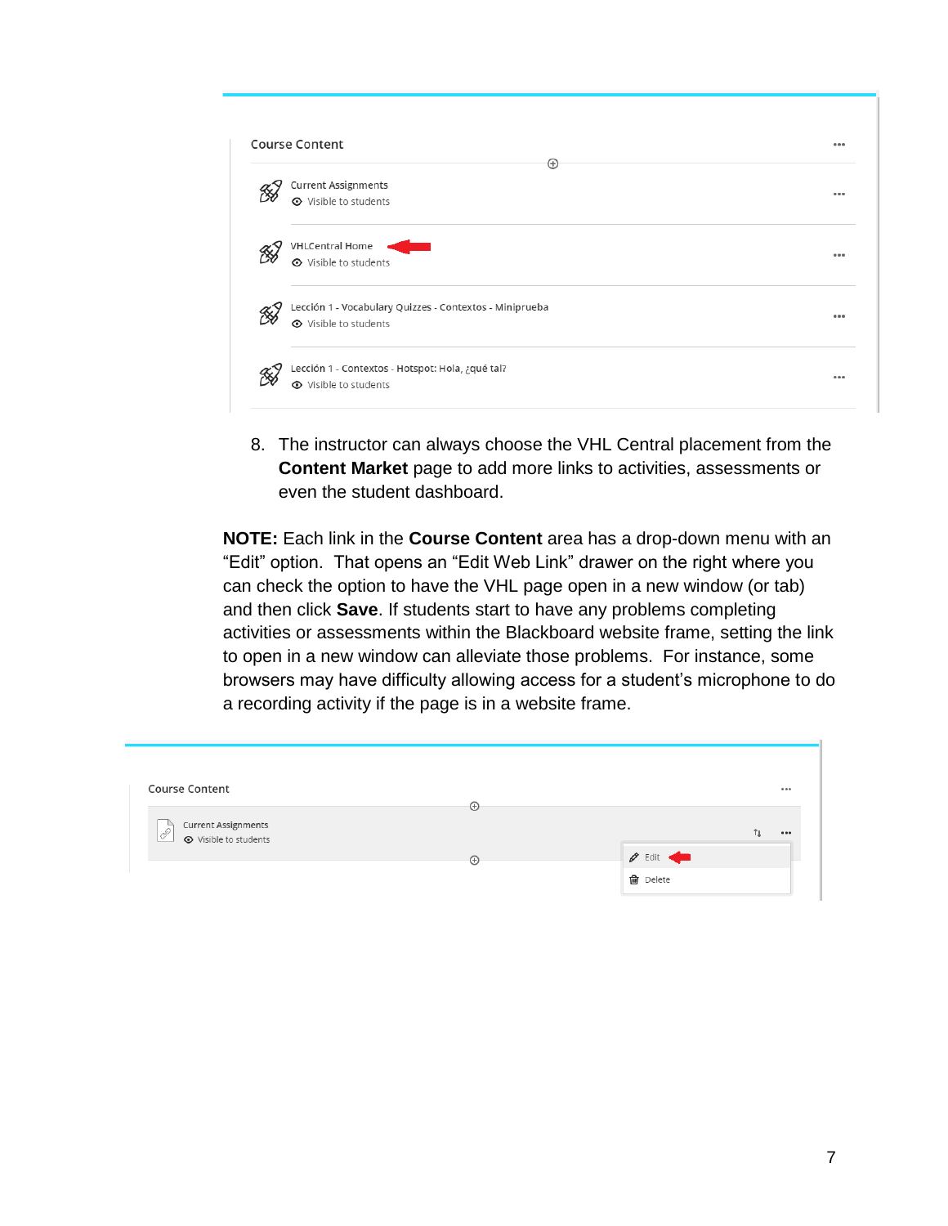| ⊕                                                       |       |
|---------------------------------------------------------|-------|
| <b>Current Assignments</b>                              |       |
| <b>⊙</b> Visible to students                            |       |
| <b>VHLCentral Home</b>                                  |       |
| <b>⊙</b> Visible to students                            | 0.0.0 |
| Lección 1 - Vocabulary Quizzes - Contextos - Miniprueba |       |
| ← Visible to students                                   | 0.0.0 |
| Lección 1 - Contextos - Hotspot: Hola, ¿qué tal?        |       |
| <b>⊙</b> Visible to students                            |       |

8. The instructor can always choose the VHL Central placement from the **Content Market** page to add more links to activities, assessments or even the student dashboard.

**NOTE:** Each link in the **Course Content** area has a drop-down menu with an "Edit" option. That opens an "Edit Web Link" drawer on the right where you can check the option to have the VHL page open in a new window (or tab) and then click **Save**. If students start to have any problems completing activities or assessments within the Blackboard website frame, setting the link to open in a new window can alleviate those problems. For instance, some browsers may have difficulty allowing access for a student's microphone to do a recording activity if the page is in a website frame.

| <b>Course Content</b>                       | $_{\oplus}$ |                                         | 0.0.0 |
|---------------------------------------------|-------------|-----------------------------------------|-------|
| <b>Current Assignments</b><br>$\mathscr{E}$ |             |                                         | 000   |
| <b>⊙</b> Visible to students                | $\odot$     | $\mathscr{D}$ Edit $\blacktriangleleft$ |       |
|                                             |             | <b>血</b> Delete                         |       |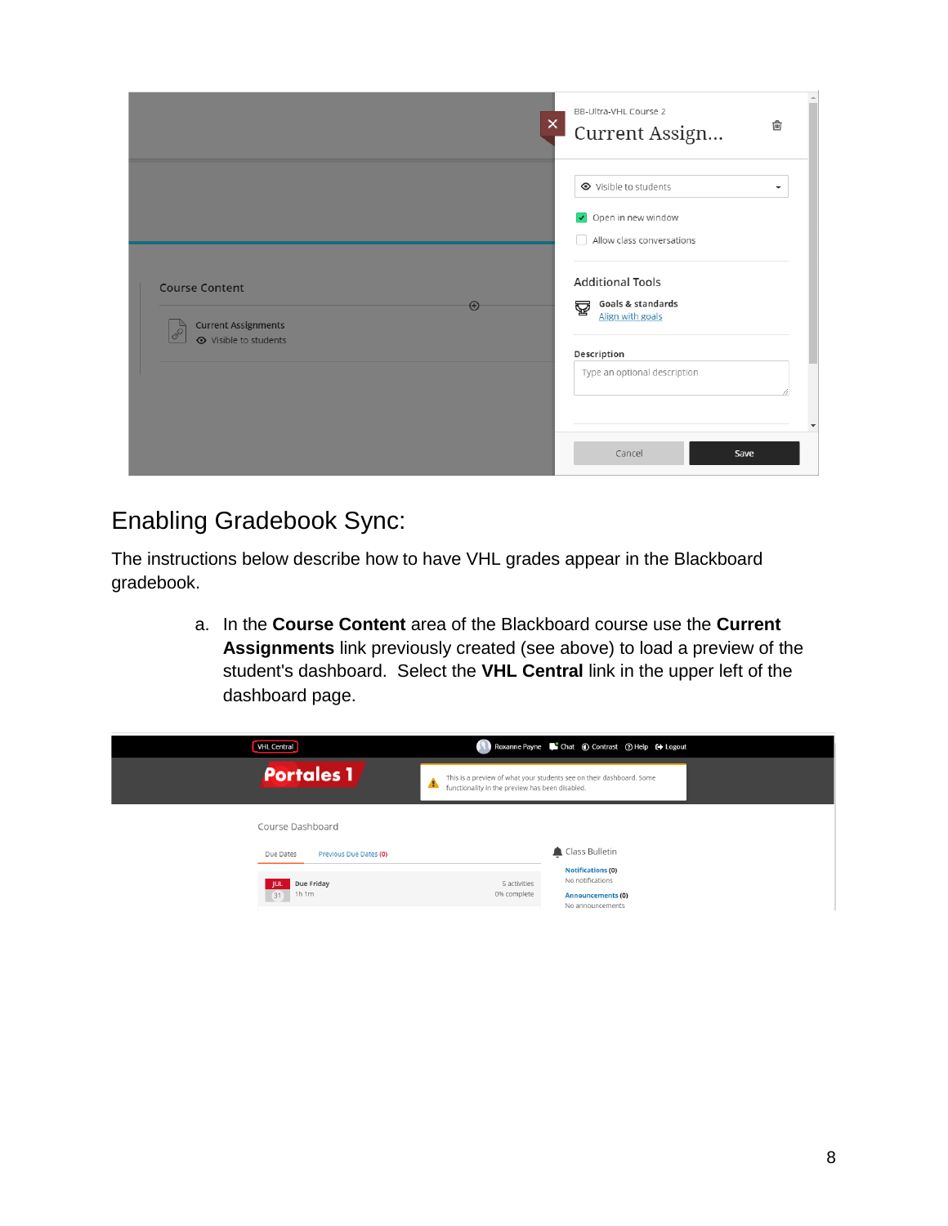|                                                                                     | BB-Ultra-VHL Course 2<br>$\times$<br>勔<br>Current Assign                                                                                                                                                |
|-------------------------------------------------------------------------------------|---------------------------------------------------------------------------------------------------------------------------------------------------------------------------------------------------------|
| <b>Course Content</b><br><b>Current Assignments</b><br><b>⊙</b> Visible to students | ← Visible to students<br>$\overline{\phantom{a}}$<br>Open in new window<br>Allow class conversations<br><b>Additional Tools</b><br><b>Goals &amp; standards</b><br>፼<br>$\bigoplus$<br>Align with goals |
|                                                                                     | Description<br>Type an optional description<br>Cancel<br>Save                                                                                                                                           |

## Enabling Gradebook Sync:

The instructions below describe how to have VHL grades appear in the Blackboard gradebook.

> a. In the **Course Content** area of the Blackboard course use the **Current Assignments** link previously created (see above) to load a preview of the student's dashboard. Select the **VHL Central** link in the upper left of the dashboard page.

| <b>VHL Central</b>                                              | Roxanne Payne Chat C Contrast (2) Help C Logout                                                                                        |
|-----------------------------------------------------------------|----------------------------------------------------------------------------------------------------------------------------------------|
| <b>Portales 1</b>                                               | This is a preview of what your students see on their dashboard. Some<br>▲<br>functionality in the preview has been disabled.           |
| Course Dashboard                                                |                                                                                                                                        |
| Due Dates<br>Previous Due Dates (0)<br>Due Friday<br>1h1m<br>31 | Class Bulletin<br><b>Notifications (0)</b><br>No notifications<br>5 activities<br>0% complete<br>Announcements (0)<br>No announcements |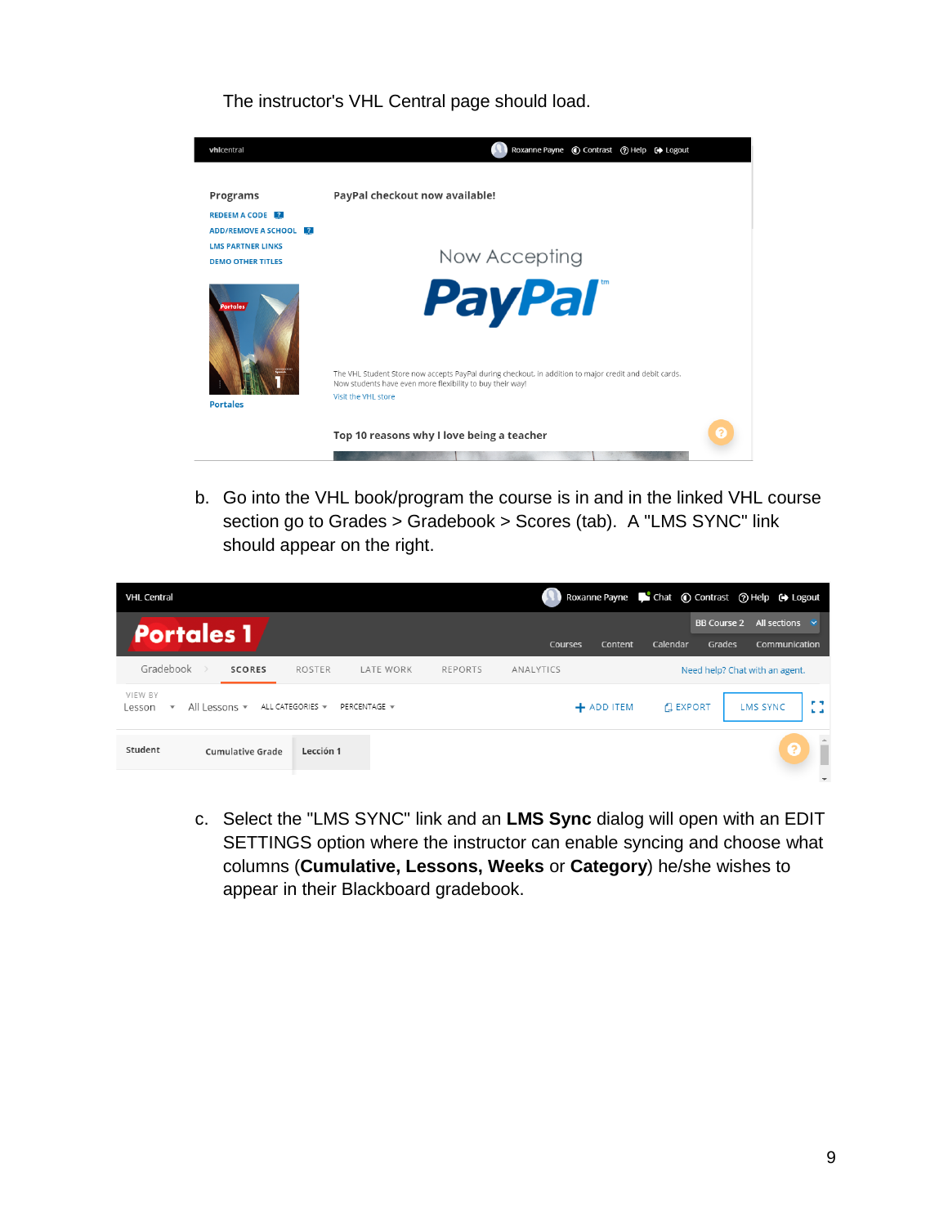The instructor's VHL Central page should load.



b. Go into the VHL book/program the course is in and in the linked VHL course section go to Grades > Gradebook > Scores (tab). A "LMS SYNC" link should appear on the right.

| <b>VHL Central</b>                                             |                         |                                     |                                 |                |                |                |               |                                | Roxanne Payne <b>C</b> Chat © Contrast © Help C Logout |                        |
|----------------------------------------------------------------|-------------------------|-------------------------------------|---------------------------------|----------------|----------------|----------------|---------------|--------------------------------|--------------------------------------------------------|------------------------|
| <b>Portales 1</b>                                              |                         |                                     |                                 |                | <b>Courses</b> | <b>Content</b> | Calendar      | <b>BB Course 2</b><br>Grades   | All sections<br>Communication                          |                        |
| Gradebook                                                      | <b>SCORES</b>           | <b>ROSTER</b>                       | LATE WORK                       | <b>REPORTS</b> | ANALYTICS      |                |               | Need help? Chat with an agent. |                                                        |                        |
| VIEW BY<br>All Lessons v<br>Lesson<br>$\overline{\phantom{a}}$ |                         | ALL CATEGORIES $\blacktriangledown$ | PERCENTAGE $\blacktriangledown$ |                |                | + ADD ITEM     | <b>EXPORT</b> |                                | <b>LMS SYNC</b>                                        | <b>P.S.</b><br>$L = 1$ |
| Student                                                        | <b>Cumulative Grade</b> | Lección 1                           |                                 |                |                |                |               |                                | 3                                                      |                        |
|                                                                |                         |                                     |                                 |                |                |                |               |                                |                                                        |                        |

c. Select the "LMS SYNC" link and an **LMS Sync** dialog will open with an EDIT SETTINGS option where the instructor can enable syncing and choose what columns (**Cumulative, Lessons, Weeks** or **Category**) he/she wishes to appear in their Blackboard gradebook.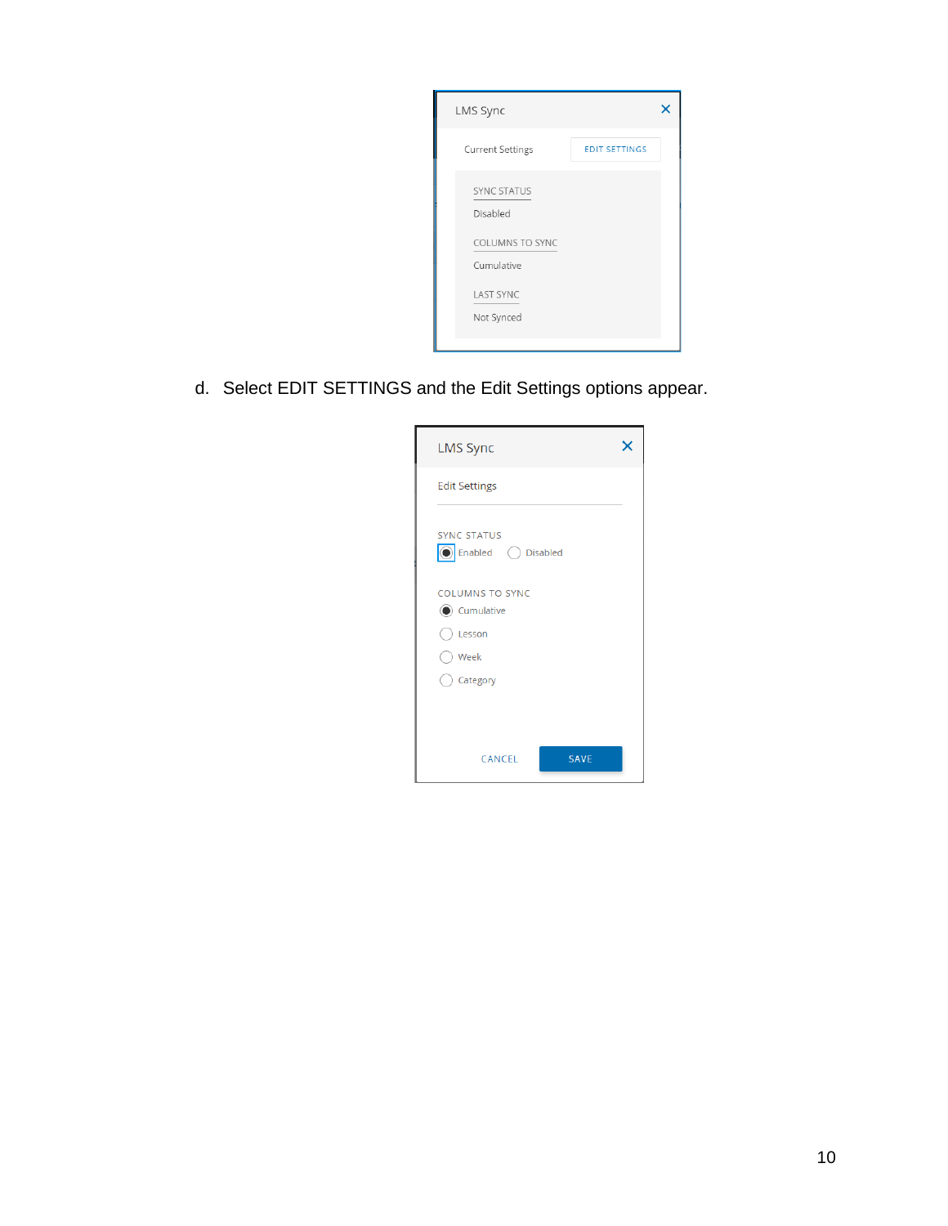

d. Select EDIT SETTINGS and the Edit Settings options appear.

| <b>LMS Sync</b>                            |  |
|--------------------------------------------|--|
| <b>Edit Settings</b>                       |  |
| <b>SYNC STATUS</b><br>C Enabled C Disabled |  |
| <b>COLUMNS TO SYNC</b><br>Cumulative       |  |
| $)$ Lesson<br>O Week                       |  |
| Category                                   |  |
| <b>SAVE</b><br>CANCEL                      |  |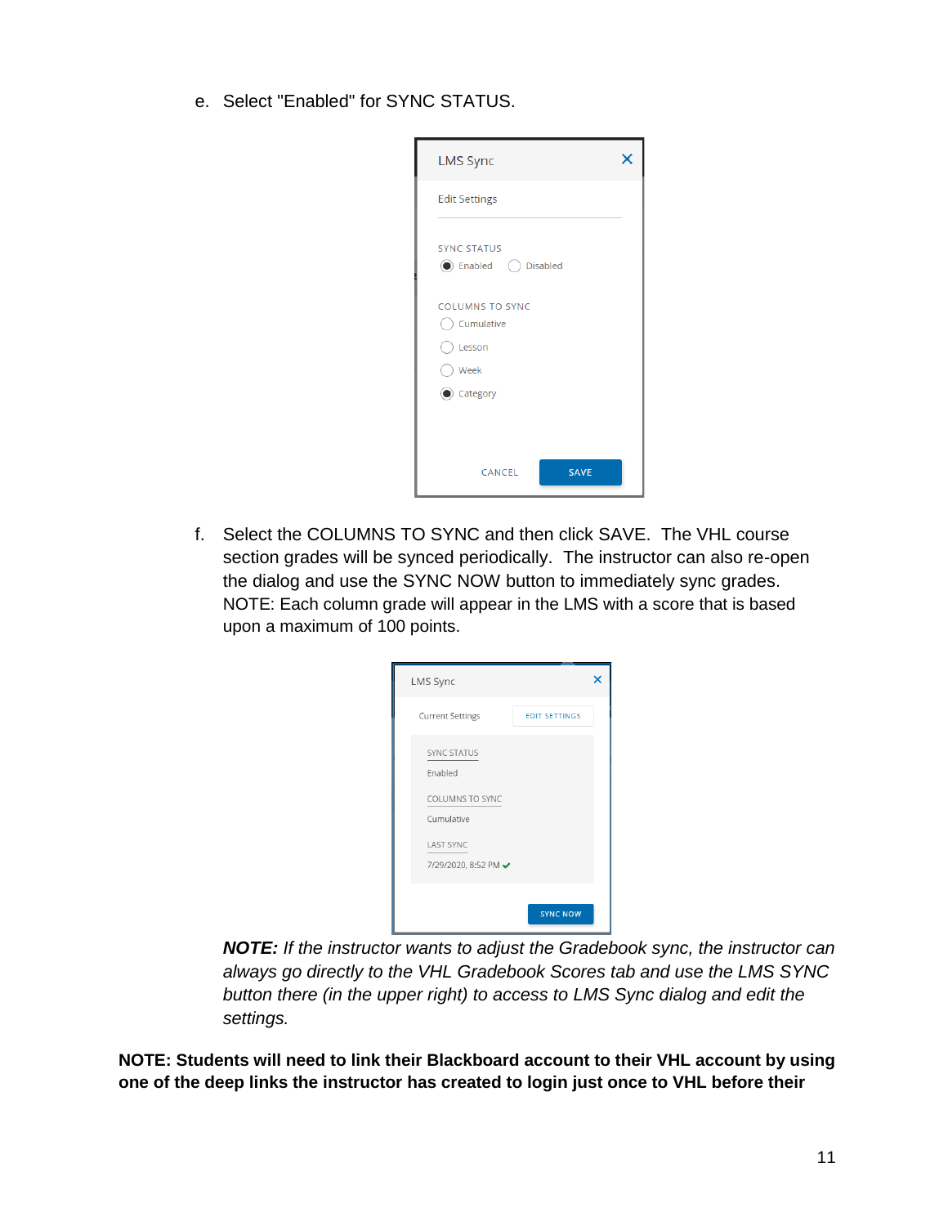e. Select "Enabled" for SYNC STATUS.

| <b>LMS Sync</b>                                           |  |
|-----------------------------------------------------------|--|
| <b>Edit Settings</b>                                      |  |
| <b>SYNC STATUS</b><br><b>●</b> Enabled ● Disabled         |  |
| <b>COLUMNS TO SYNC</b><br>Cumulative<br>Elesson<br>◯ Week |  |
| Category                                                  |  |
| <b>SAVE</b><br>CANCEL                                     |  |

f. Select the COLUMNS TO SYNC and then click SAVE. The VHL course section grades will be synced periodically. The instructor can also re-open the dialog and use the SYNC NOW button to immediately sync grades. NOTE: Each column grade will appear in the LMS with a score that is based upon a maximum of 100 points.

| LMS Sync                                                                                                          |                      |  |
|-------------------------------------------------------------------------------------------------------------------|----------------------|--|
| <b>Current Settings</b>                                                                                           | <b>EDIT SETTINGS</b> |  |
| <b>SYNC STATUS</b><br>Enabled<br><b>COLUMNS TO SYNC</b><br>Cumulative<br><b>LAST SYNC</b><br>7/29/2020, 8:52 PM → |                      |  |
|                                                                                                                   | <b>SYNC NOW</b>      |  |

*NOTE: If the instructor wants to adjust the Gradebook sync, the instructor can always go directly to the VHL Gradebook Scores tab and use the LMS SYNC button there (in the upper right) to access to LMS Sync dialog and edit the settings.*

**NOTE: Students will need to link their Blackboard account to their VHL account by using one of the deep links the instructor has created to login just once to VHL before their**